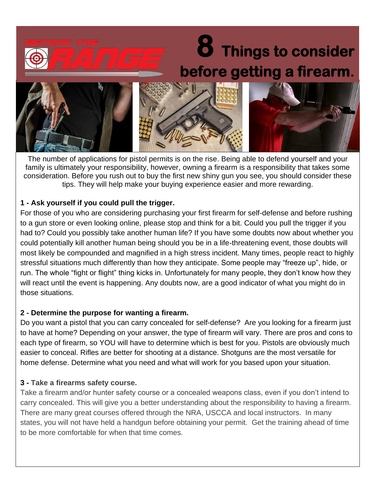# **8 Things to consider before getting a firearm.**



The number of applications for pistol permits is on the rise. Being able to defend yourself and your family is ultimately your responsibility, however, owning a firearm is a responsibility that takes some consideration. Before you rush out to buy the first new shiny gun you see, you should consider these tips. They will help make your buying experience easier and more rewarding.

## **1 - Ask yourself if you could pull the trigger.**

For those of you who are considering purchasing your first firearm for self-defense and before rushing to a gun store or even looking online, please stop and think for a bit. Could you pull the trigger if you had to? Could you possibly take another human life? If you have some doubts now about whether you could potentially kill another human being should you be in a life-threatening event, those doubts will most likely be compounded and magnified in a high stress incident. Many times, people react to highly stressful situations much differently than how they anticipate. Some people may "freeze up", hide, or run. The whole "fight or flight" thing kicks in. Unfortunately for many people, they don't know how they will react until the event is happening. Any doubts now, are a good indicator of what you might do in those situations.

## **2 - Determine the purpose for wanting a firearm.**

Do you want a pistol that you can carry concealed for self-defense? Are you looking for a firearm just to have at home? Depending on your answer, the type of firearm will vary. There are pros and cons to each type of firearm, so YOU will have to determine which is best for you. Pistols are obviously much easier to conceal. Rifles are better for shooting at a distance. Shotguns are the most versatile for home defense. Determine what you need and what will work for you based upon your situation.

# **3 - Take a firearms safety course.**

Take a firearm and/or hunter safety course or a concealed weapons class, even if you don't intend to carry concealed. This will give you a better understanding about the responsibility to having a firearm. There are many great courses offered through the NRA, USCCA and local instructors. In many states, you will not have held a handgun before obtaining your permit. Get the training ahead of time to be more comfortable for when that time comes.